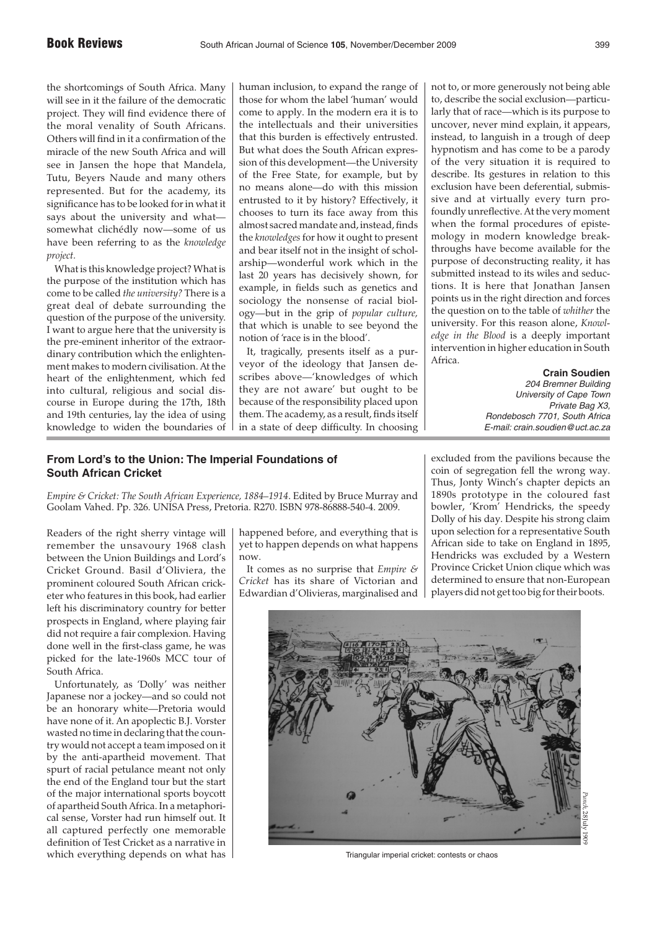## **From Lord's to the Union: The Imperial Foundations of South African Cricket**

*Empire & Cricket: The South African Experience, 1884–1914*. Edited by Bruce Murray and Goolam Vahed. Pp. 326. UNISA Press, Pretoria. R270. ISBN 978-86888-540-4. 2009.

Readers of the right sherry vintage will remember the unsavoury 1968 clash between the Union Buildings and Lord's Cricket Ground. Basil d'Oliviera, the prominent coloured South African cricketer who features in this book, had earlier left his discriminatory country for better prospects in England, where playing fair did not require a fair complexion. Having done well in the first-class game, he was picked for the late-1960s MCC tour of South Africa.

Unfortunately, as 'Dolly' was neither Japanese nor a jockey—and so could not be an honorary white—Pretoria would have none of it. An apoplectic B.J. Vorster wasted no time in declaring that the country would not accept a team imposed on it by the anti-apartheid movement. That spurt of racial petulance meant not only the end of the England tour but the start of the major international sports boycott of apartheid South Africa. In a metaphorical sense, Vorster had run himself out. It all captured perfectly one memorable definition of Test Cricket as a narrative in which everything depends on what has happened before, and everything that is yet to happen depends on what happens now.

It comes as no surprise that *Empire & Cricket* has its share of Victorian and Edwardian d'Olivieras, marginalised and

excluded from the pavilions because the coin of segregation fell the wrong way. Thus, Jonty Winch's chapter depicts an 1890s prototype in the coloured fast bowler, 'Krom' Hendricks, the speedy Dolly of his day. Despite his strong claim upon selection for a representative South African side to take on England in 1895, Hendricks was excluded by a Western Province Cricket Union clique which was determined to ensure that non-European players did not get too big for their boots.



Triangular imperial cricket: contests or chaos